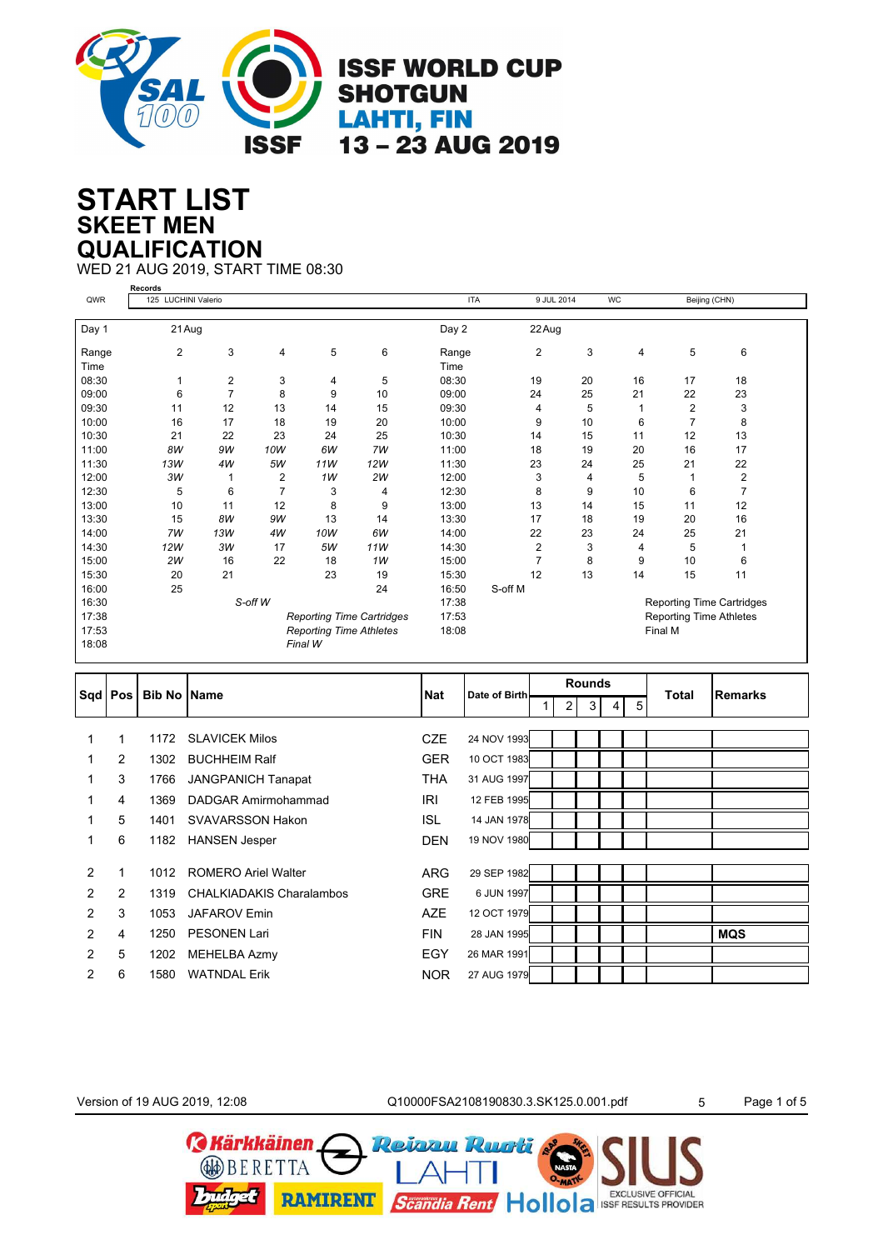

## **SKEET MEN START LIST QUALIFICATION**

WED 21 AUG 2019, START TIME 08:30

|       | <b>Records</b>      |                         |                |                                |                                  |            |                |    |           |                                |                                  |
|-------|---------------------|-------------------------|----------------|--------------------------------|----------------------------------|------------|----------------|----|-----------|--------------------------------|----------------------------------|
| QWR   | 125 LUCHINI Valerio |                         |                |                                |                                  | <b>ITA</b> | 9 JUL 2014     |    | <b>WC</b> | Beijing (CHN)                  |                                  |
|       |                     |                         |                |                                |                                  |            |                |    |           |                                |                                  |
| Day 1 | 21 Aug              |                         |                |                                |                                  | Day 2      | 22 Aug         |    |           |                                |                                  |
| Range | $\overline{2}$      | 3                       | 4              | 5                              | 6                                | Range      | 2              | 3  | 4         | 5                              | 6                                |
| Time  |                     |                         |                |                                |                                  | Time       |                |    |           |                                |                                  |
| 08:30 |                     | $\overline{\mathbf{c}}$ | 3              | 4                              | 5                                | 08:30      | 19             | 20 | 16        | 17                             | 18                               |
| 09:00 | 6                   | $\overline{7}$          | 8              | 9                              | 10                               | 09:00      | 24             | 25 | 21        | 22                             | 23                               |
| 09:30 | 11                  | 12                      | 13             | 14                             | 15                               | 09:30      | 4              | 5  |           | $\overline{2}$                 | 3                                |
| 10:00 | 16                  | 17                      | 18             | 19                             | 20                               | 10:00      | 9              | 10 | 6         | $\overline{7}$                 | 8                                |
| 10:30 | 21                  | 22                      | 23             | 24                             | 25                               | 10:30      | 14             | 15 | 11        | 12                             | 13                               |
| 11:00 | 8W                  | 9W                      | 10W            | 6W                             | 7W                               | 11:00      | 18             | 19 | 20        | 16                             | 17                               |
| 11:30 | 13W                 | 4W                      | 5W             | 11W                            | 12W                              | 11:30      | 23             | 24 | 25        | 21                             | 22                               |
| 12:00 | зw                  |                         | 2              | 1W                             | 2W                               | 12:00      | 3              | 4  | 5         |                                | $\overline{2}$                   |
| 12:30 | 5                   | 6                       | $\overline{7}$ | 3                              | 4                                | 12:30      | 8              | 9  | 10        | 6                              | $\overline{7}$                   |
| 13:00 | 10                  | 11                      | 12             | 8                              | 9                                | 13:00      | 13             | 14 | 15        | 11                             | 12                               |
| 13:30 | 15                  | 8W                      | 9W             | 13                             | 14                               | 13:30      | 17             | 18 | 19        | 20                             | 16                               |
| 14:00 | 7W                  | 13W                     | 4W             | 10W                            | 6W                               | 14:00      | 22             | 23 | 24        | 25                             | 21                               |
| 14:30 | 12W                 | 3W                      | 17             | 5W                             | 11W                              | 14:30      | 2              | 3  | 4         | 5                              |                                  |
| 15:00 | 2W                  | 16                      | 22             | 18                             | 1W                               | 15:00      | $\overline{7}$ | 8  | 9         | 10                             | 6                                |
| 15:30 | 20                  | 21                      |                | 23                             | 19                               | 15:30      | 12             | 13 | 14        | 15                             | 11                               |
| 16:00 | 25                  |                         |                |                                | 24                               | 16:50      | S-off M        |    |           |                                |                                  |
| 16:30 |                     |                         | S-off W        |                                |                                  | 17:38      |                |    |           |                                | <b>Reporting Time Cartridges</b> |
| 17:38 |                     |                         |                |                                | <b>Reporting Time Cartridges</b> | 17:53      |                |    |           | <b>Reporting Time Athletes</b> |                                  |
| 17:53 |                     |                         |                | <b>Reporting Time Athletes</b> |                                  | 18:08      |                |    | Final M   |                                |                                  |
| 18:08 |                     |                         |                | Final W                        |                                  |            |                |    |           |                                |                                  |

| Sqd   Pos      |                |      | <b>Bib No Name</b>         | <b>Nat</b> | Date of Birth |                | <b>Rounds</b>       |  |   | <b>Total</b> | <b>Remarks</b> |  |
|----------------|----------------|------|----------------------------|------------|---------------|----------------|---------------------|--|---|--------------|----------------|--|
|                |                |      |                            |            |               | 2 <sub>1</sub> | 3 <sup>1</sup><br>4 |  | 5 |              |                |  |
|                |                |      |                            |            |               |                |                     |  |   |              |                |  |
| 1              | 1              | 1172 | <b>SLAVICEK Milos</b>      | <b>CZE</b> | 24 NOV 1993   |                |                     |  |   |              |                |  |
| 1.             | $\overline{2}$ | 1302 | <b>BUCHHEIM Ralf</b>       | <b>GER</b> | 10 OCT 1983   |                |                     |  |   |              |                |  |
| 1              | 3              | 1766 | <b>JANGPANICH Tanapat</b>  | THA        | 31 AUG 1997   |                |                     |  |   |              |                |  |
|                | 4              | 1369 | DADGAR Amirmohammad        | IRI        | 12 FEB 1995   |                |                     |  |   |              |                |  |
| 1              | 5              | 1401 | SVAVARSSON Hakon           | ISL        | 14 JAN 1978   |                |                     |  |   |              |                |  |
| 1              | 6              | 1182 | <b>HANSEN Jesper</b>       | <b>DEN</b> | 19 NOV 1980   |                |                     |  |   |              |                |  |
|                |                |      |                            |            |               |                |                     |  |   |              |                |  |
| 2              | 1              | 1012 | <b>ROMERO Ariel Walter</b> | <b>ARG</b> | 29 SEP 1982   |                |                     |  |   |              |                |  |
| 2              | 2              | 1319 | CHALKIADAKIS Charalambos   | <b>GRE</b> | 6 JUN 1997    |                |                     |  |   |              |                |  |
| 2              | 3              | 1053 | <b>JAFAROV Emin</b>        | <b>AZE</b> | 12 OCT 1979   |                |                     |  |   |              |                |  |
| 2              | 4              | 1250 | <b>PESONEN Lari</b>        | <b>FIN</b> | 28 JAN 1995   |                |                     |  |   |              | <b>MQS</b>     |  |
| $\overline{2}$ | 5              | 1202 | MEHELBA Azmy               | EGY        | 26 MAR 1991   |                |                     |  |   |              |                |  |
| 2              | 6              | 1580 | <b>WATNDAL Erik</b>        | <b>NOR</b> | 27 AUG 1979   |                |                     |  |   |              |                |  |

Version of 19 AUG 2019, 12:08 <br>
Q10000FSA2108190830.3.SK125.0.001.pdf 5 Page 1 of 5

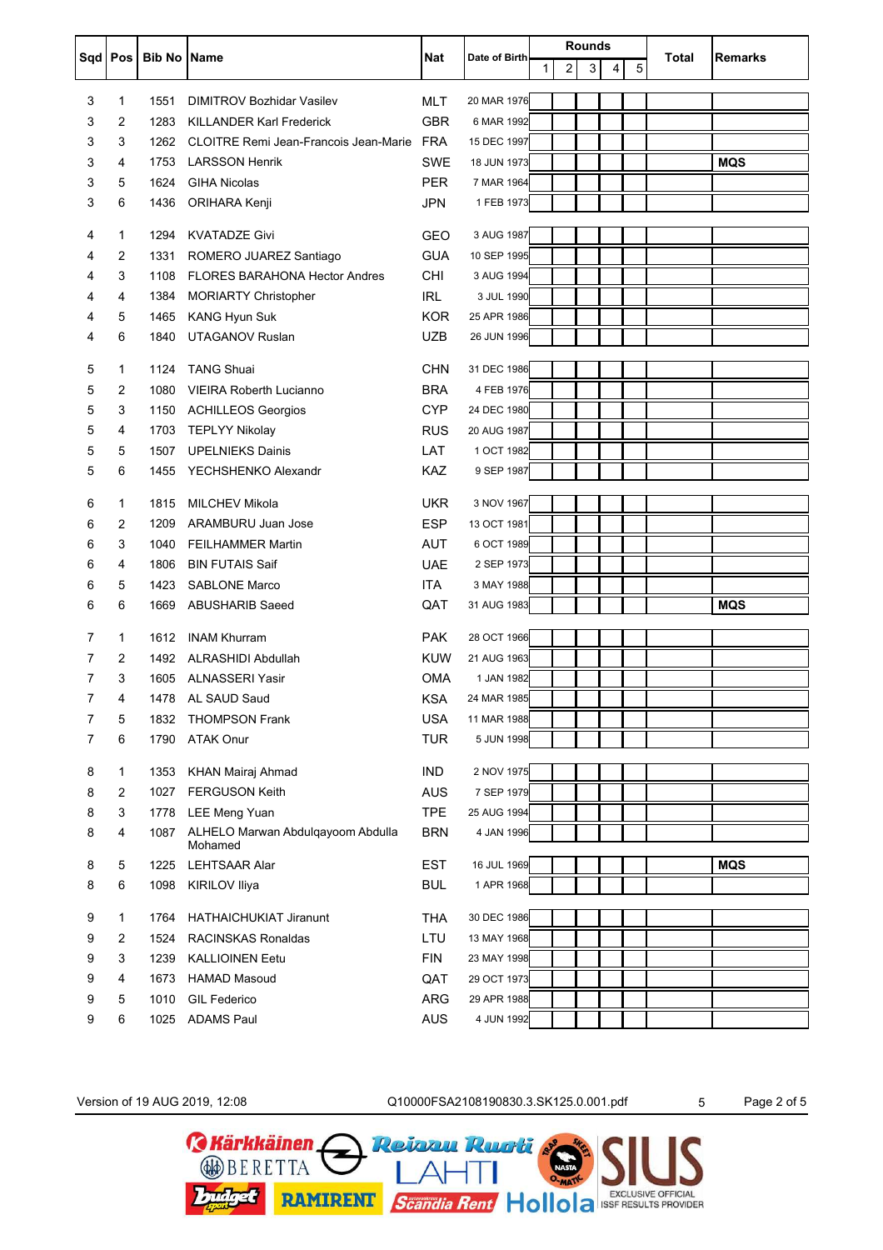|   |                |                    |                                                |            |               |    | <b>Rounds</b>  |   |   |   |       |                |
|---|----------------|--------------------|------------------------------------------------|------------|---------------|----|----------------|---|---|---|-------|----------------|
|   | Sqd   Pos      | <b>Bib No Name</b> |                                                | Nat        | Date of Birth | 1. | $\overline{c}$ | 3 | 4 | 5 | Total | <b>Remarks</b> |
|   |                |                    |                                                |            |               |    |                |   |   |   |       |                |
| 3 | 1              | 1551               | <b>DIMITROV Bozhidar Vasilev</b>               | <b>MLT</b> | 20 MAR 1976   |    |                |   |   |   |       |                |
| 3 | 2              | 1283               | <b>KILLANDER Karl Frederick</b>                | <b>GBR</b> | 6 MAR 1992    |    |                |   |   |   |       |                |
| 3 | 3              | 1262               | <b>CLOITRE Remi Jean-Francois Jean-Marie</b>   | <b>FRA</b> | 15 DEC 1997   |    |                |   |   |   |       |                |
| 3 | 4              | 1753               | <b>LARSSON Henrik</b>                          | <b>SWE</b> | 18 JUN 1973   |    |                |   |   |   |       | <b>MQS</b>     |
| 3 | 5              | 1624               | <b>GIHA Nicolas</b>                            | <b>PER</b> | 7 MAR 1964    |    |                |   |   |   |       |                |
| 3 | 6              | 1436               | ORIHARA Kenji                                  | <b>JPN</b> | 1 FEB 1973    |    |                |   |   |   |       |                |
| 4 | 1              | 1294               | <b>KVATADZE Givi</b>                           | <b>GEO</b> | 3 AUG 1987    |    |                |   |   |   |       |                |
| 4 | 2              | 1331               | ROMERO JUAREZ Santiago                         | <b>GUA</b> | 10 SEP 1995   |    |                |   |   |   |       |                |
| 4 | 3              | 1108               | <b>FLORES BARAHONA Hector Andres</b>           | CHI        | 3 AUG 1994    |    |                |   |   |   |       |                |
| 4 | 4              | 1384               | <b>MORIARTY Christopher</b>                    | <b>IRL</b> | 3 JUL 1990    |    |                |   |   |   |       |                |
| 4 | 5              | 1465               |                                                | <b>KOR</b> | 25 APR 1986   |    |                |   |   |   |       |                |
|   |                |                    | <b>KANG Hyun Suk</b><br><b>UTAGANOV Ruslan</b> |            | 26 JUN 1996   |    |                |   |   |   |       |                |
| 4 | 6              | 1840               |                                                | <b>UZB</b> |               |    |                |   |   |   |       |                |
| 5 | 1              | 1124               | <b>TANG Shuai</b>                              | <b>CHN</b> | 31 DEC 1986   |    |                |   |   |   |       |                |
| 5 | 2              | 1080               | <b>VIEIRA Roberth Lucianno</b>                 | <b>BRA</b> | 4 FEB 1976    |    |                |   |   |   |       |                |
| 5 | 3              | 1150               | <b>ACHILLEOS Georgios</b>                      | <b>CYP</b> | 24 DEC 1980   |    |                |   |   |   |       |                |
| 5 | 4              | 1703               | <b>TEPLYY Nikolay</b>                          | <b>RUS</b> | 20 AUG 1987   |    |                |   |   |   |       |                |
| 5 | 5              | 1507               | <b>UPELNIEKS Dainis</b>                        | LAT        | 1 OCT 1982    |    |                |   |   |   |       |                |
| 5 | 6              | 1455               | YECHSHENKO Alexandr                            | <b>KAZ</b> | 9 SEP 1987    |    |                |   |   |   |       |                |
|   |                |                    |                                                |            |               |    |                |   |   |   |       |                |
| 6 | 1              | 1815               | <b>MILCHEV Mikola</b>                          | <b>UKR</b> | 3 NOV 1967    |    |                |   |   |   |       |                |
| 6 | 2              | 1209               | ARAMBURU Juan Jose                             | <b>ESP</b> | 13 OCT 1981   |    |                |   |   |   |       |                |
| 6 | 3              | 1040               | <b>FEILHAMMER Martin</b>                       | <b>AUT</b> | 6 OCT 1989    |    |                |   |   |   |       |                |
| 6 | 4              | 1806               | <b>BIN FUTAIS Saif</b>                         | <b>UAE</b> | 2 SEP 1973    |    |                |   |   |   |       |                |
| 6 | 5              | 1423               | <b>SABLONE Marco</b>                           | <b>ITA</b> | 3 MAY 1988    |    |                |   |   |   |       |                |
| 6 | 6              | 1669               | <b>ABUSHARIB Saeed</b>                         | QAT        | 31 AUG 1983   |    |                |   |   |   |       | <b>MQS</b>     |
|   |                |                    |                                                |            |               |    |                |   |   |   |       |                |
| 7 | 1              | 1612               | <b>INAM Khurram</b>                            | <b>PAK</b> | 28 OCT 1966   |    |                |   |   |   |       |                |
| 7 | 2              | 1492               | <b>ALRASHIDI Abdullah</b>                      | <b>KUW</b> | 21 AUG 1963   |    |                |   |   |   |       |                |
| 7 | 3              |                    | 1605 ALNASSERI Yasir                           | <b>OMA</b> | 1 JAN 1982    |    |                |   |   |   |       |                |
| 7 | 4              | 1478               | AL SAUD Saud                                   | <b>KSA</b> | 24 MAR 1985   |    |                |   |   |   |       |                |
| 7 | 5              | 1832               | <b>THOMPSON Frank</b>                          | <b>USA</b> | 11 MAR 1988   |    |                |   |   |   |       |                |
| 7 | 6              | 1790               | <b>ATAK Onur</b>                               | <b>TUR</b> | 5 JUN 1998    |    |                |   |   |   |       |                |
| 8 | 1              | 1353               | KHAN Mairaj Ahmad                              | <b>IND</b> | 2 NOV 1975    |    |                |   |   |   |       |                |
| 8 | $\overline{2}$ | 1027               | <b>FERGUSON Keith</b>                          | <b>AUS</b> | 7 SEP 1979    |    |                |   |   |   |       |                |
| 8 | 3              | 1778               | <b>LEE Meng Yuan</b>                           | <b>TPE</b> | 25 AUG 1994   |    |                |   |   |   |       |                |
| 8 | 4              | 1087               | ALHELO Marwan Abdulqayoom Abdulla              | <b>BRN</b> | 4 JAN 1996    |    |                |   |   |   |       |                |
|   |                |                    | Mohamed                                        |            |               |    |                |   |   |   |       |                |
| 8 | 5              | 1225               | <b>LEHTSAAR Alar</b>                           | <b>EST</b> | 16 JUL 1969   |    |                |   |   |   |       | <b>MQS</b>     |
| 8 | 6              | 1098               | KIRILOV Iliya                                  | <b>BUL</b> | 1 APR 1968    |    |                |   |   |   |       |                |
|   |                |                    |                                                |            |               |    |                |   |   |   |       |                |
| 9 | 1              | 1764               | <b>HATHAICHUKIAT Jiranunt</b>                  | <b>THA</b> | 30 DEC 1986   |    |                |   |   |   |       |                |
| 9 | 2              | 1524               | <b>RACINSKAS Ronaldas</b>                      | LTU        | 13 MAY 1968   |    |                |   |   |   |       |                |
| 9 | 3              | 1239               | <b>KALLIOINEN Eetu</b>                         | <b>FIN</b> | 23 MAY 1998   |    |                |   |   |   |       |                |
| 9 | 4              | 1673               | <b>HAMAD Masoud</b>                            | QAT        | 29 OCT 1973   |    |                |   |   |   |       |                |
| 9 | 5              | 1010               | <b>GIL Federico</b>                            | ARG        | 29 APR 1988   |    |                |   |   |   |       |                |
| 9 | 6              | 1025               | <b>ADAMS Paul</b>                              | <b>AUS</b> | 4 JUN 1992    |    |                |   |   |   |       |                |

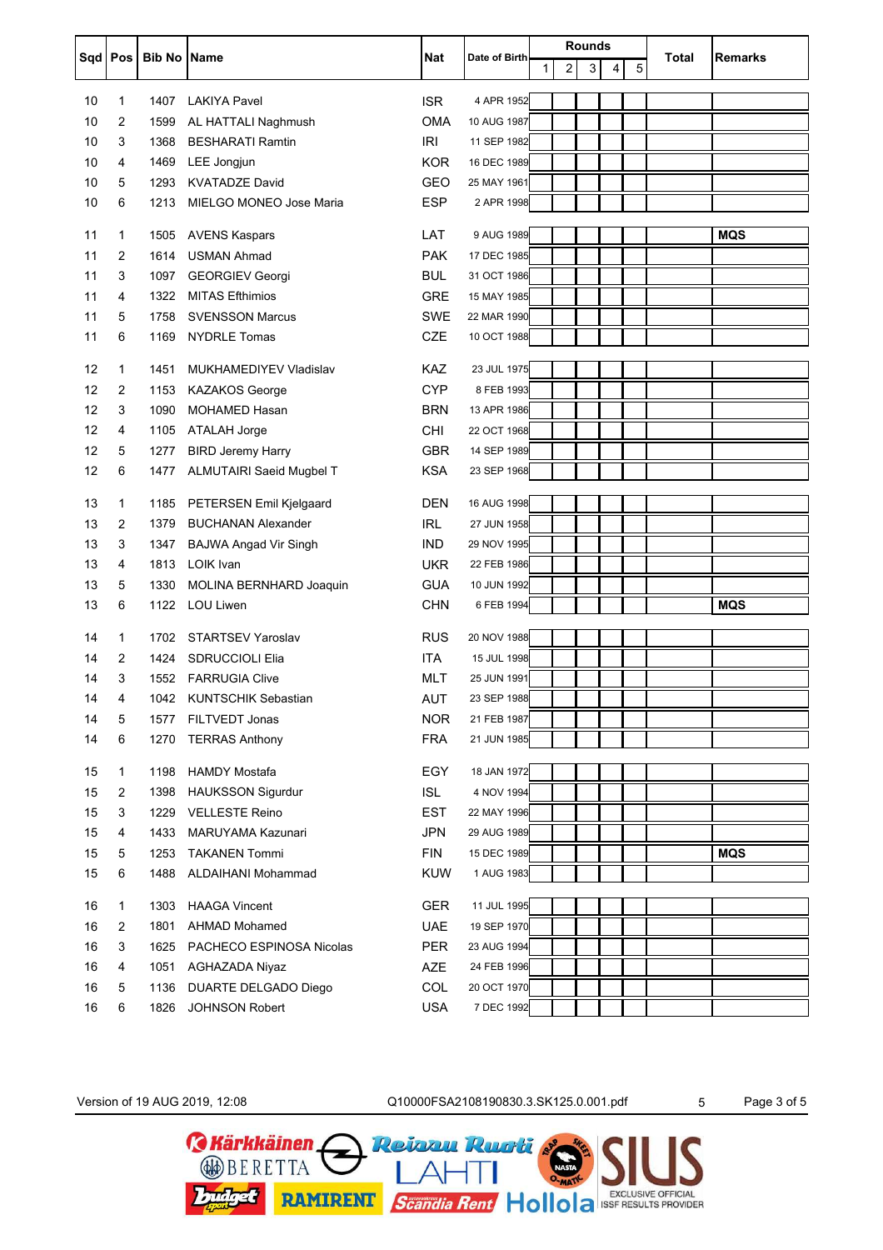|           |                |                    |                                             |            |               | Rounds |   |   |   |   |       |                |  |
|-----------|----------------|--------------------|---------------------------------------------|------------|---------------|--------|---|---|---|---|-------|----------------|--|
| Sqd   Pos |                | <b>Bib No Name</b> |                                             | Nat        | Date of Birth | 1      | 2 | 3 | 4 | 5 | Total | <b>Remarks</b> |  |
|           |                |                    |                                             |            |               |        |   |   |   |   |       |                |  |
| 10        | 1              | 1407               | <b>LAKIYA Pavel</b>                         | <b>ISR</b> | 4 APR 1952    |        |   |   |   |   |       |                |  |
| 10        | 2              | 1599               | AL HATTALI Naghmush                         | OMA        | 10 AUG 1987   |        |   |   |   |   |       |                |  |
| 10        | 3              | 1368               | <b>BESHARATI Ramtin</b>                     | <b>IRI</b> | 11 SEP 1982   |        |   |   |   |   |       |                |  |
| 10        | 4              | 1469               | LEE Jongjun                                 | <b>KOR</b> | 16 DEC 1989   |        |   |   |   |   |       |                |  |
| 10        | 5              | 1293               | <b>KVATADZE David</b>                       | <b>GEO</b> | 25 MAY 1961   |        |   |   |   |   |       |                |  |
| 10        | 6              | 1213               | MIELGO MONEO Jose Maria                     | <b>ESP</b> | 2 APR 1998    |        |   |   |   |   |       |                |  |
| 11        | $\mathbf 1$    | 1505               | <b>AVENS Kaspars</b>                        | LAT        | 9 AUG 1989    |        |   |   |   |   |       | <b>MQS</b>     |  |
| 11        | $\overline{2}$ | 1614               | <b>USMAN Ahmad</b>                          | <b>PAK</b> | 17 DEC 1985   |        |   |   |   |   |       |                |  |
| 11        | 3              | 1097               | <b>GEORGIEV Georgi</b>                      | <b>BUL</b> | 31 OCT 1986   |        |   |   |   |   |       |                |  |
| 11        | 4              | 1322               | <b>MITAS Efthimios</b>                      | <b>GRE</b> | 15 MAY 1985   |        |   |   |   |   |       |                |  |
| 11        | 5              | 1758               | <b>SVENSSON Marcus</b>                      | <b>SWE</b> | 22 MAR 1990   |        |   |   |   |   |       |                |  |
| 11        | 6              | 1169               | <b>NYDRLE Tomas</b>                         | <b>CZE</b> | 10 OCT 1988   |        |   |   |   |   |       |                |  |
|           |                |                    |                                             |            |               |        |   |   |   |   |       |                |  |
| 12        | $\mathbf 1$    | 1451               | MUKHAMEDIYEV Vladislav                      | KAZ        | 23 JUL 1975   |        |   |   |   |   |       |                |  |
| 12        | 2              | 1153               | <b>KAZAKOS George</b>                       | <b>CYP</b> | 8 FEB 1993    |        |   |   |   |   |       |                |  |
| 12        | 3              | 1090               | <b>MOHAMED Hasan</b>                        | <b>BRN</b> | 13 APR 1986   |        |   |   |   |   |       |                |  |
| 12        | 4              | 1105               | ATALAH Jorge                                | CHI        | 22 OCT 1968   |        |   |   |   |   |       |                |  |
| 12        | 5              | 1277               | <b>BIRD Jeremy Harry</b>                    | <b>GBR</b> | 14 SEP 1989   |        |   |   |   |   |       |                |  |
| 12        | 6              | 1477               | ALMUTAIRI Saeid Mugbel T                    | <b>KSA</b> | 23 SEP 1968   |        |   |   |   |   |       |                |  |
| 13        | $\mathbf{1}$   | 1185               | <b>PETERSEN Emil Kjelgaard</b>              | <b>DEN</b> | 16 AUG 1998   |        |   |   |   |   |       |                |  |
| 13        | 2              | 1379               | <b>BUCHANAN Alexander</b>                   | <b>IRL</b> | 27 JUN 1958   |        |   |   |   |   |       |                |  |
| 13        | 3              | 1347               | <b>BAJWA Angad Vir Singh</b>                | <b>IND</b> | 29 NOV 1995   |        |   |   |   |   |       |                |  |
| 13        | 4              | 1813               | LOIK Ivan                                   | <b>UKR</b> | 22 FEB 1986   |        |   |   |   |   |       |                |  |
| 13        | 5              | 1330               |                                             | <b>GUA</b> | 10 JUN 1992   |        |   |   |   |   |       |                |  |
| 13        | 6              | 1122               | MOLINA BERNHARD Joaquin<br><b>LOU Liwen</b> |            | 6 FEB 1994    |        |   |   |   |   |       | <b>MQS</b>     |  |
|           |                |                    |                                             | <b>CHN</b> |               |        |   |   |   |   |       |                |  |
| 14        | $\mathbf{1}$   | 1702               | <b>STARTSEV Yaroslav</b>                    | <b>RUS</b> | 20 NOV 1988   |        |   |   |   |   |       |                |  |
| 14        | 2              | 1424               | <b>SDRUCCIOLI Elia</b>                      | <b>ITA</b> | 15 JUL 1998   |        |   |   |   |   |       |                |  |
| 14        | 3              |                    | 1552 FARRUGIA Clive                         | <b>MLT</b> | 25 JUN 1991   |        |   |   |   |   |       |                |  |
| 14        | 4              | 1042               | <b>KUNTSCHIK Sebastian</b>                  | <b>AUT</b> | 23 SEP 1988   |        |   |   |   |   |       |                |  |
| 14        | 5              | 1577               | FILTVEDT Jonas                              | <b>NOR</b> | 21 FEB 1987   |        |   |   |   |   |       |                |  |
| 14        | 6              | 1270               | <b>TERRAS Anthony</b>                       | <b>FRA</b> | 21 JUN 1985   |        |   |   |   |   |       |                |  |
|           |                |                    |                                             |            |               |        |   |   |   |   |       |                |  |
| 15        | 1              | 1198               | <b>HAMDY Mostafa</b>                        | EGY        | 18 JAN 1972   |        |   |   |   |   |       |                |  |
| 15        | $\overline{2}$ | 1398               | <b>HAUKSSON Sigurdur</b>                    | <b>ISL</b> | 4 NOV 1994    |        |   |   |   |   |       |                |  |
| 15        | 3              | 1229               | <b>VELLESTE Reino</b>                       | <b>EST</b> | 22 MAY 1996   |        |   |   |   |   |       |                |  |
| 15        | 4              | 1433               | MARUYAMA Kazunari                           | <b>JPN</b> | 29 AUG 1989   |        |   |   |   |   |       |                |  |
| 15        | 5              | 1253               | <b>TAKANEN Tommi</b>                        | <b>FIN</b> | 15 DEC 1989   |        |   |   |   |   |       | <b>MQS</b>     |  |
| 15        | 6              | 1488               | ALDAIHANI Mohammad                          | <b>KUW</b> | 1 AUG 1983    |        |   |   |   |   |       |                |  |
| 16        | $\mathbf{1}$   |                    | 1303 HAAGA Vincent                          | <b>GER</b> | 11 JUL 1995   |        |   |   |   |   |       |                |  |
| 16        | $\overline{2}$ | 1801               | <b>AHMAD Mohamed</b>                        | <b>UAE</b> | 19 SEP 1970   |        |   |   |   |   |       |                |  |
| 16        | 3              | 1625               | PACHECO ESPINOSA Nicolas                    | <b>PER</b> | 23 AUG 1994   |        |   |   |   |   |       |                |  |
| 16        | 4              | 1051               | AGHAZADA Niyaz                              | AZE        | 24 FEB 1996   |        |   |   |   |   |       |                |  |
| 16        | 5              | 1136               | DUARTE DELGADO Diego                        | COL        | 20 OCT 1970   |        |   |   |   |   |       |                |  |
| 16        | 6              | 1826               | JOHNSON Robert                              | <b>USA</b> | 7 DEC 1992    |        |   |   |   |   |       |                |  |
|           |                |                    |                                             |            |               |        |   |   |   |   |       |                |  |

Version of 19 AUG 2019, 12:08 C10000FSA2108190830.3.SK125.0.001.pdf 5 Page 3 of 5

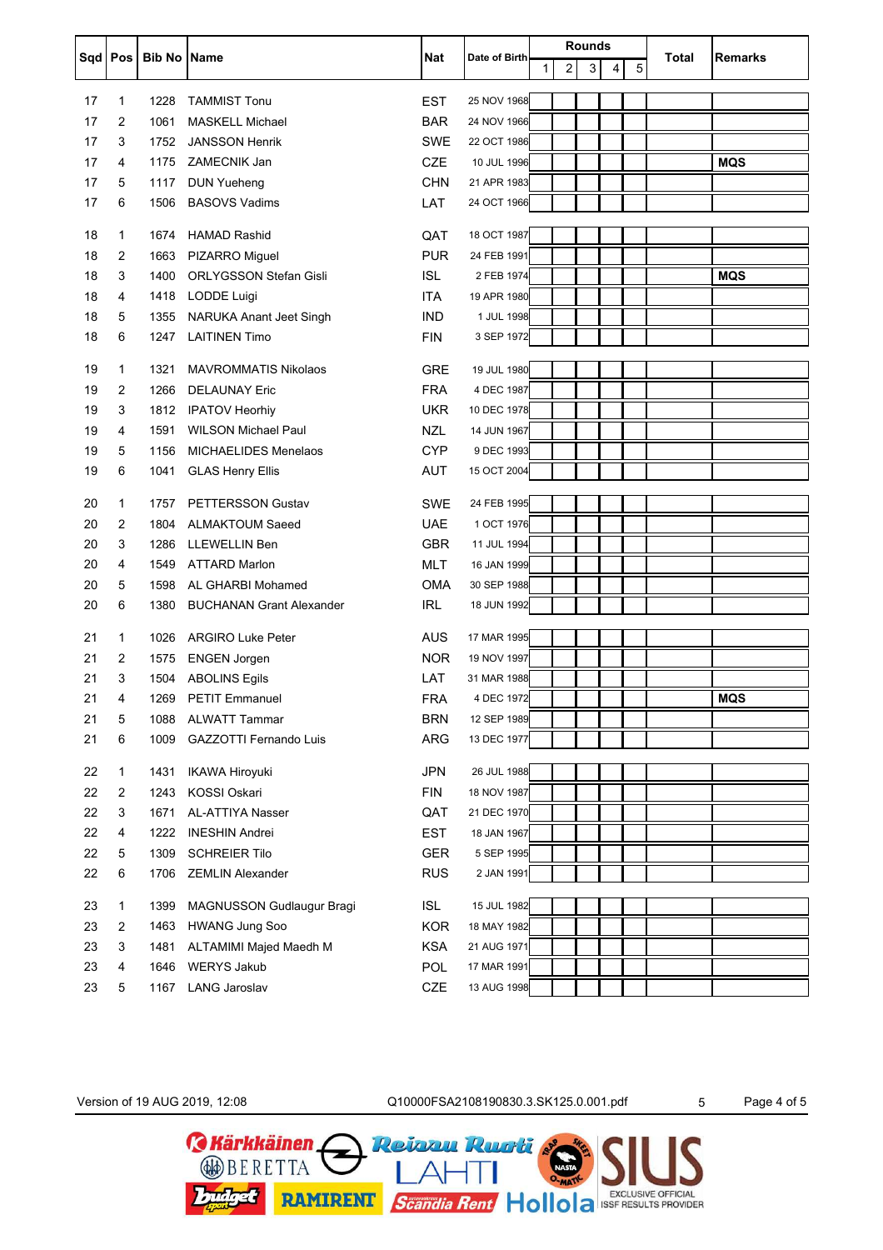|          | Sqd   Pos      |                    |                                 |                          |               |   |                | <b>Rounds</b> |   |   |       |                |
|----------|----------------|--------------------|---------------------------------|--------------------------|---------------|---|----------------|---------------|---|---|-------|----------------|
|          |                | <b>Bib No Name</b> |                                 | Nat                      | Date of Birth | 1 | $\overline{2}$ | 3             | 4 | 5 | Total | <b>Remarks</b> |
|          |                |                    |                                 |                          |               |   |                |               |   |   |       |                |
| 17       | $\mathbf 1$    | 1228               | <b>TAMMIST Tonu</b>             | <b>EST</b>               | 25 NOV 1968   |   |                |               |   |   |       |                |
| 17<br>17 | 2<br>3         | 1061               | <b>MASKELL Michael</b>          | <b>BAR</b><br><b>SWE</b> | 24 NOV 1966   |   |                |               |   |   |       |                |
| 17       |                | 1752               | <b>JANSSON Henrik</b>           |                          | 22 OCT 1986   |   |                |               |   |   |       |                |
|          | 4              | 1175               | ZAMECNIK Jan                    | CZE                      | 10 JUL 1996   |   |                |               |   |   |       | <b>MQS</b>     |
| 17       | 5              | 1117               | <b>DUN Yueheng</b>              | <b>CHN</b>               | 21 APR 1983   |   |                |               |   |   |       |                |
| 17       | 6              | 1506               | <b>BASOVS Vadims</b>            | LAT                      | 24 OCT 1966   |   |                |               |   |   |       |                |
| 18       | $\mathbf{1}$   | 1674               | <b>HAMAD Rashid</b>             | QAT                      | 18 OCT 1987   |   |                |               |   |   |       |                |
| 18       | 2              | 1663               | PIZARRO Miguel                  | <b>PUR</b>               | 24 FEB 1991   |   |                |               |   |   |       |                |
| 18       | 3              | 1400               | <b>ORLYGSSON Stefan Gisli</b>   | ISL.                     | 2 FEB 1974    |   |                |               |   |   |       | <b>MQS</b>     |
| 18       | 4              | 1418               | LODDE Luigi                     | <b>ITA</b>               | 19 APR 1980   |   |                |               |   |   |       |                |
| 18       | 5              | 1355               | NARUKA Anant Jeet Singh         | <b>IND</b>               | 1 JUL 1998    |   |                |               |   |   |       |                |
| 18       | 6              | 1247               | <b>LAITINEN Timo</b>            | <b>FIN</b>               | 3 SEP 1972    |   |                |               |   |   |       |                |
| 19       | $\mathbf 1$    | 1321               | <b>MAVROMMATIS Nikolaos</b>     | <b>GRE</b>               | 19 JUL 1980   |   |                |               |   |   |       |                |
| 19       | 2              | 1266               | <b>DELAUNAY Eric</b>            | <b>FRA</b>               | 4 DEC 1987    |   |                |               |   |   |       |                |
| 19       | 3              | 1812               | <b>IPATOV Heorhiy</b>           | <b>UKR</b>               | 10 DEC 1978   |   |                |               |   |   |       |                |
| 19       | 4              | 1591               | <b>WILSON Michael Paul</b>      | <b>NZL</b>               | 14 JUN 1967   |   |                |               |   |   |       |                |
| 19       | 5              | 1156               | <b>MICHAELIDES Menelaos</b>     | <b>CYP</b>               | 9 DEC 1993    |   |                |               |   |   |       |                |
| 19       | 6              | 1041               | <b>GLAS Henry Ellis</b>         | <b>AUT</b>               | 15 OCT 2004   |   |                |               |   |   |       |                |
|          |                |                    |                                 |                          |               |   |                |               |   |   |       |                |
| 20       | $\mathbf{1}$   | 1757               | <b>PETTERSSON Gustav</b>        | <b>SWE</b>               | 24 FEB 1995   |   |                |               |   |   |       |                |
| 20       | 2              | 1804               | <b>ALMAKTOUM Saeed</b>          | <b>UAE</b>               | 1 OCT 1976    |   |                |               |   |   |       |                |
| 20       | 3              | 1286               | <b>LLEWELLIN Ben</b>            | <b>GBR</b>               | 11 JUL 1994   |   |                |               |   |   |       |                |
| 20       | 4              | 1549               | <b>ATTARD Marlon</b>            | <b>MLT</b>               | 16 JAN 1999   |   |                |               |   |   |       |                |
| 20       | 5              | 1598               | AL GHARBI Mohamed               | <b>OMA</b>               | 30 SEP 1988   |   |                |               |   |   |       |                |
| 20       | 6              | 1380               | <b>BUCHANAN Grant Alexander</b> | <b>IRL</b>               | 18 JUN 1992   |   |                |               |   |   |       |                |
| 21       | $\mathbf 1$    | 1026               | <b>ARGIRO Luke Peter</b>        | AUS                      | 17 MAR 1995   |   |                |               |   |   |       |                |
| 21       | $\overline{2}$ | 1575               | <b>ENGEN Jorgen</b>             | <b>NOR</b>               | 19 NOV 1997   |   |                |               |   |   |       |                |
| 21       | 3              |                    | 1504 ABOLINS Egils              | LAT                      | 31 MAR 1988   |   |                |               |   |   |       |                |
| 21       | 4              |                    | 1269 PETIT Emmanuel             | <b>FRA</b>               | 4 DEC 1972    |   |                |               |   |   |       | <b>MQS</b>     |
| 21       | 5              | 1088               | <b>ALWATT Tammar</b>            | <b>BRN</b>               | 12 SEP 1989   |   |                |               |   |   |       |                |
| 21       | 6              | 1009               | GAZZOTTI Fernando Luis          | ARG                      | 13 DEC 1977   |   |                |               |   |   |       |                |
|          |                |                    |                                 |                          |               |   |                |               |   |   |       |                |
| 22       | $\mathbf{1}$   | 1431               | <b>IKAWA Hiroyuki</b>           | <b>JPN</b>               | 26 JUL 1988   |   |                |               |   |   |       |                |
| 22       | $\overline{2}$ | 1243               | <b>KOSSI Oskari</b>             | <b>FIN</b>               | 18 NOV 1987   |   |                |               |   |   |       |                |
| 22       | 3              | 1671               | AL-ATTIYA Nasser                | QAT                      | 21 DEC 1970   |   |                |               |   |   |       |                |
| 22       | 4              | 1222               | <b>INESHIN Andrei</b>           | <b>EST</b>               | 18 JAN 1967   |   |                |               |   |   |       |                |
| 22       | 5              | 1309               | <b>SCHREIER Tilo</b>            | <b>GER</b>               | 5 SEP 1995    |   |                |               |   |   |       |                |
| 22       | 6              | 1706               | <b>ZEMLIN Alexander</b>         | <b>RUS</b>               | 2 JAN 1991    |   |                |               |   |   |       |                |
| 23       | $\mathbf{1}$   | 1399               | MAGNUSSON Gudlaugur Bragi       | <b>ISL</b>               | 15 JUL 1982   |   |                |               |   |   |       |                |
| 23       | $\overline{2}$ | 1463               | <b>HWANG Jung Soo</b>           | <b>KOR</b>               | 18 MAY 1982   |   |                |               |   |   |       |                |
| 23       | 3              | 1481               | ALTAMIMI Majed Maedh M          | <b>KSA</b>               | 21 AUG 1971   |   |                |               |   |   |       |                |
| 23       | 4              | 1646               | <b>WERYS Jakub</b>              | POL                      | 17 MAR 1991   |   |                |               |   |   |       |                |
| 23       | 5              | 1167               | <b>LANG Jaroslav</b>            | CZE                      | 13 AUG 1998   |   |                |               |   |   |       |                |

Version of 19 AUG 2019, 12:08 C10000FSA2108190830.3.SK125.0.001.pdf 5 Page 4 of 5